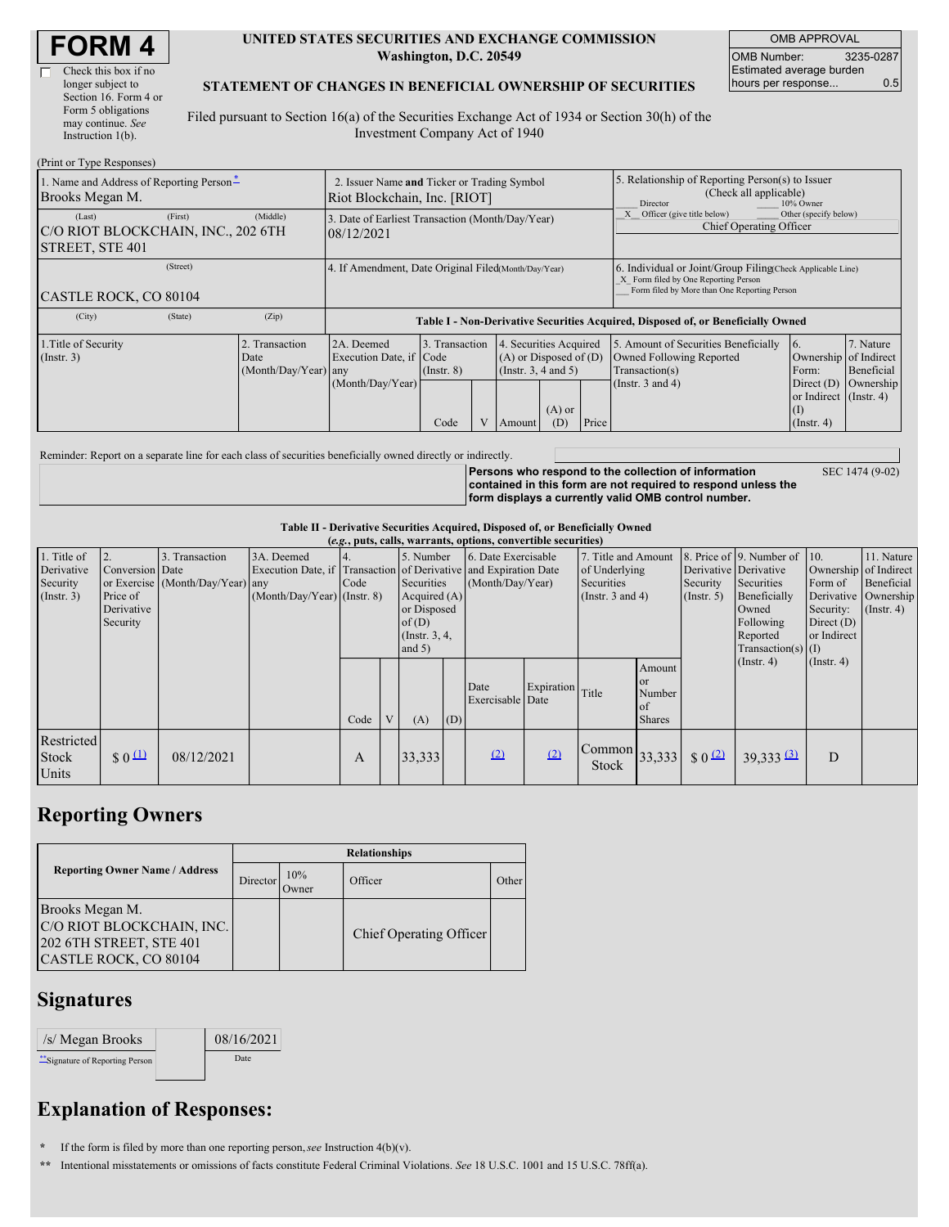| <b>FORM 4</b> |
|---------------|
|---------------|

#### **UNITED STATES SECURITIES AND EXCHANGE COMMISSION Washington, D.C. 20549**

OMB APPROVAL OMB Number: 3235-0287 Estimated average burden hours per response... 0.5

#### **STATEMENT OF CHANGES IN BENEFICIAL OWNERSHIP OF SECURITIES**

Filed pursuant to Section 16(a) of the Securities Exchange Act of 1934 or Section 30(h) of the Investment Company Act of 1940

| (Print or Type Responses)                                                  |                                                                             |                                                                                  |                                                |  |                                                                                                           |  |                                                                                                                                                    |                                                                                                             |                                                                                                         |                                      |
|----------------------------------------------------------------------------|-----------------------------------------------------------------------------|----------------------------------------------------------------------------------|------------------------------------------------|--|-----------------------------------------------------------------------------------------------------------|--|----------------------------------------------------------------------------------------------------------------------------------------------------|-------------------------------------------------------------------------------------------------------------|---------------------------------------------------------------------------------------------------------|--------------------------------------|
| 1. Name and Address of Reporting Person-<br>Brooks Megan M.                | 2. Issuer Name and Ticker or Trading Symbol<br>Riot Blockchain, Inc. [RIOT] |                                                                                  |                                                |  |                                                                                                           |  | 5. Relationship of Reporting Person(s) to Issuer<br>(Check all applicable)<br>10% Owner<br>Director                                                |                                                                                                             |                                                                                                         |                                      |
| (First)<br>(Last)<br>C/O RIOT BLOCKCHAIN, INC., 202 6TH<br>STREET, STE 401 | (Middle)                                                                    | 3. Date of Earliest Transaction (Month/Day/Year)<br>08/12/2021                   |                                                |  |                                                                                                           |  |                                                                                                                                                    | Officer (give title below)<br>Chief Operating Officer                                                       | Other (specify below)                                                                                   |                                      |
| (Street)<br>CASTLE ROCK, CO 80104                                          | 4. If Amendment, Date Original Filed Month/Day/Year)                        |                                                                                  |                                                |  |                                                                                                           |  | 6. Individual or Joint/Group Filing(Check Applicable Line)<br>X Form filed by One Reporting Person<br>Form filed by More than One Reporting Person |                                                                                                             |                                                                                                         |                                      |
| (City)<br>(State)                                                          | (Zip)                                                                       | Table I - Non-Derivative Securities Acquired, Disposed of, or Beneficially Owned |                                                |  |                                                                                                           |  |                                                                                                                                                    |                                                                                                             |                                                                                                         |                                      |
| 1. Title of Security<br>$($ Instr. 3 $)$                                   | 2. Transaction<br>Date<br>(Month/Day/Year) any                              | 2A. Deemed<br>Execution Date, if Code<br>(Month/Day/Year)                        | 3. Transaction<br>$($ Instr. $8)$<br>V<br>Code |  | 4. Securities Acquired<br>$(A)$ or Disposed of $(D)$<br>(Insert. 3, 4 and 5)<br>$(A)$ or<br>(D)<br>Amount |  | Price                                                                                                                                              | 5. Amount of Securities Beneficially<br>Owned Following Reported<br>Transaction(s)<br>(Instr. $3$ and $4$ ) | 16.<br>Ownership of Indirect<br>Form:<br>Direct $(D)$<br>or Indirect (Instr. 4)<br>(I)<br>$($ Instr. 4) | 7. Nature<br>Beneficial<br>Ownership |

Reminder: Report on a separate line for each class of securities beneficially owned directly or indirectly.

**Persons who respond to the collection of information contained in this form are not required to respond unless the form displays a currently valid OMB control number.**

SEC 1474 (9-02)

### **Table II - Derivative Securities Acquired, Disposed of, or Beneficially Owned**

| (e.g., puts, calls, warrants, options, convertible securities) |                                           |                                                    |                                             |      |  |                                                          |     |                                                                                                             |                  |                                                                                    |                                                         |                              |                                                                                              |                                                                       |                                           |
|----------------------------------------------------------------|-------------------------------------------|----------------------------------------------------|---------------------------------------------|------|--|----------------------------------------------------------|-----|-------------------------------------------------------------------------------------------------------------|------------------|------------------------------------------------------------------------------------|---------------------------------------------------------|------------------------------|----------------------------------------------------------------------------------------------|-----------------------------------------------------------------------|-------------------------------------------|
| 1. Title of<br>Derivative<br>Security<br>$($ Instr. 3 $)$      | Conversion Date<br>Price of<br>Derivative | 3. Transaction<br>or Exercise (Month/Day/Year) any | 3A. Deemed<br>$(Month/Day/Year)$ (Instr. 8) | Code |  | 5. Number<br>Securities<br>Acquired $(A)$<br>or Disposed |     | 6. Date Exercisable<br>Execution Date, if Transaction of Derivative and Expiration Date<br>(Month/Day/Year) |                  | 7. Title and Amount<br>of Underlying<br><b>Securities</b><br>(Instr. $3$ and $4$ ) |                                                         | Security<br>$($ Instr. 5 $)$ | 8. Price of 9. Number of 10.<br>Derivative Derivative<br>Securities<br>Beneficially<br>Owned | Ownership of Indirect<br>Form of<br>Derivative Ownership<br>Security: | 11. Nature<br>Beneficial<br>$($ Instr. 4) |
|                                                                | Security                                  |                                                    |                                             |      |  | of(D)<br>$($ Instr. $3, 4,$<br>and $5)$                  |     |                                                                                                             |                  |                                                                                    | Amount                                                  |                              | Following<br>Reported<br>Transaction(s) $(I)$<br>$($ Instr. 4 $)$                            | Direct $(D)$<br>or Indirect<br>$($ Instr. 4 $)$                       |                                           |
|                                                                |                                           |                                                    |                                             | Code |  | (A)                                                      | (D) | Date<br>Exercisable Date                                                                                    | Expiration Title |                                                                                    | <b>l</b> or<br>Number<br><sub>of</sub><br><b>Shares</b> |                              |                                                                                              |                                                                       |                                           |
| Restricted<br>Stock<br>Units                                   | $\frac{1}{2}$ 0 $\frac{11}{2}$            | 08/12/2021                                         |                                             | A    |  | 33,333                                                   |     | (2)                                                                                                         | (2)              | $\lfloor$ Common $\rfloor$ 33,333<br>Stock                                         |                                                         | $\frac{1}{2}$ 0 (2)          | $39,333$ $\overline{3}$                                                                      | D                                                                     |                                           |

## **Reporting Owners**

|                                                                                                  | <b>Relationships</b> |              |                         |       |  |  |  |  |  |
|--------------------------------------------------------------------------------------------------|----------------------|--------------|-------------------------|-------|--|--|--|--|--|
| <b>Reporting Owner Name / Address</b>                                                            | <b>Director</b>      | 10%<br>Owner | Officer                 | Other |  |  |  |  |  |
| Brooks Megan M.<br>C/O RIOT BLOCKCHAIN, INC.<br>202 6TH STREET, STE 401<br>CASTLE ROCK, CO 80104 |                      |              | Chief Operating Officer |       |  |  |  |  |  |

## **Signatures**

| /s/ Megan Brooks               | 08/16/2021 |
|--------------------------------|------------|
| "Signature of Reporting Person | Date       |

# **Explanation of Responses:**

**\*** If the form is filed by more than one reporting person,*see* Instruction 4(b)(v).

**\*\*** Intentional misstatements or omissions of facts constitute Federal Criminal Violations. *See* 18 U.S.C. 1001 and 15 U.S.C. 78ff(a).